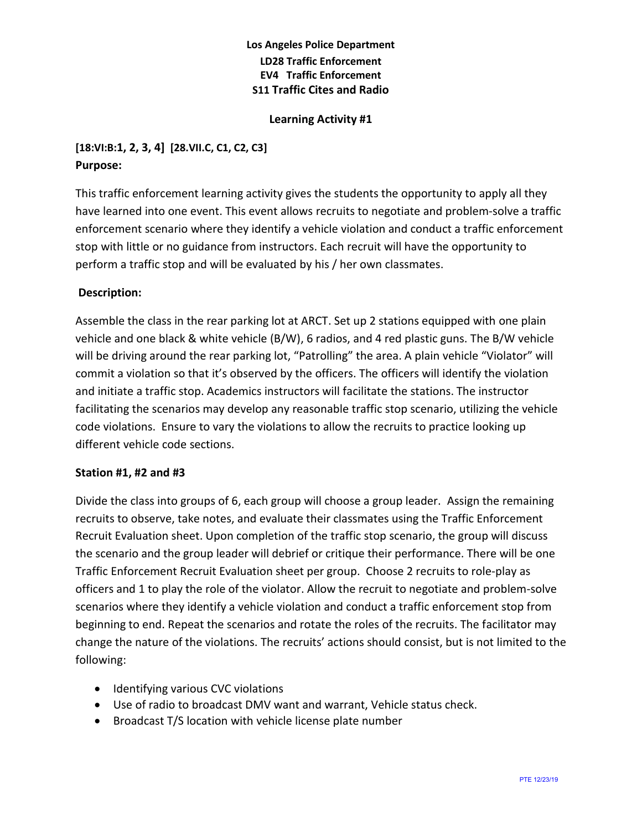### **Los Angeles Police Department LD28 Traffic Enforcement EV4 Traffic Enforcement S11 Traffic Cites and Radio**

### **Learning Activity #1**

# **[18:VI:B:1, 2, 3, 4] [28.VII.C, C1, C2, C3] Purpose:**

This traffic enforcement learning activity gives the students the opportunity to apply all they have learned into one event. This event allows recruits to negotiate and problem-solve a traffic enforcement scenario where they identify a vehicle violation and conduct a traffic enforcement stop with little or no guidance from instructors. Each recruit will have the opportunity to perform a traffic stop and will be evaluated by his / her own classmates.

### **Description:**

Assemble the class in the rear parking lot at ARCT. Set up 2 stations equipped with one plain vehicle and one black & white vehicle (B/W), 6 radios, and 4 red plastic guns. The B/W vehicle will be driving around the rear parking lot, "Patrolling" the area. A plain vehicle "Violator" will commit a violation so that it's observed by the officers. The officers will identify the violation and initiate a traffic stop. Academics instructors will facilitate the stations. The instructor facilitating the scenarios may develop any reasonable traffic stop scenario, utilizing the vehicle code violations. Ensure to vary the violations to allow the recruits to practice looking up different vehicle code sections.

#### **Station #1, #2 and #3**

Divide the class into groups of 6, each group will choose a group leader. Assign the remaining recruits to observe, take notes, and evaluate their classmates using the Traffic Enforcement Recruit Evaluation sheet. Upon completion of the traffic stop scenario, the group will discuss the scenario and the group leader will debrief or critique their performance. There will be one Traffic Enforcement Recruit Evaluation sheet per group. Choose 2 recruits to role-play as officers and 1 to play the role of the violator. Allow the recruit to negotiate and problem-solve scenarios where they identify a vehicle violation and conduct a traffic enforcement stop from beginning to end. Repeat the scenarios and rotate the roles of the recruits. The facilitator may change the nature of the violations. The recruits' actions should consist, but is not limited to the following:

- Identifying various CVC violations
- Use of radio to broadcast DMV want and warrant, Vehicle status check.
- Broadcast T/S location with vehicle license plate number